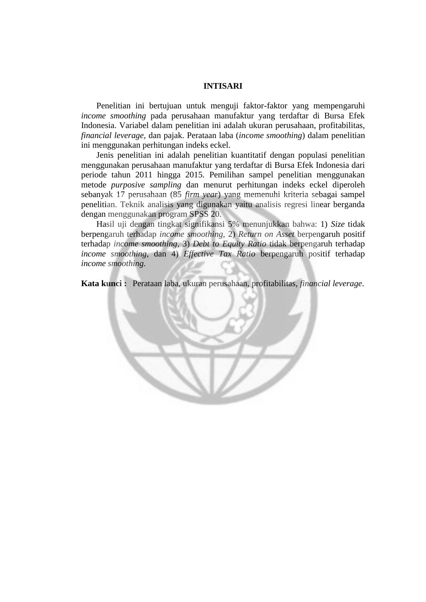## **INTISARI**

Penelitian ini bertujuan untuk menguji faktor-faktor yang mempengaruhi *income smoothing* pada perusahaan manufaktur yang terdaftar di Bursa Efek Indonesia. Variabel dalam penelitian ini adalah ukuran perusahaan, profitabilitas, *financial leverage,* dan pajak. Perataan laba (*income smoothing*) dalam penelitian ini menggunakan perhitungan indeks eckel.

Jenis penelitian ini adalah penelitian kuantitatif dengan populasi penelitian menggunakan perusahaan manufaktur yang terdaftar di Bursa Efek Indonesia dari periode tahun 2011 hingga 2015. Pemilihan sampel penelitian menggunakan metode *purposive sampling* dan menurut perhitungan indeks eckel diperoleh sebanyak 17 perusahaan (85 *firm year*) yang memenuhi kriteria sebagai sampel penelitian. Teknik analisis yang digunakan yaitu analisis regresi linear berganda dengan menggunakan program SPSS 20.

Hasil uji dengan tingkat signifikansi 5% menunjukkan bahwa: 1) *Size* tidak berpengaruh terhadap *income smoothing,* 2) *Return on Asset* berpengaruh positif terhadap *income smoothing,* 3) *Debt to Equity Ratio* tidak berpengaruh terhadap *income smoothing*, dan 4) *Effective Tax Ratio* berpengaruh positif terhadap *income smoothing.*

**Kata kunci :** Perataan laba, ukuran perusahaan, profitabilitas, *financial leverage*.